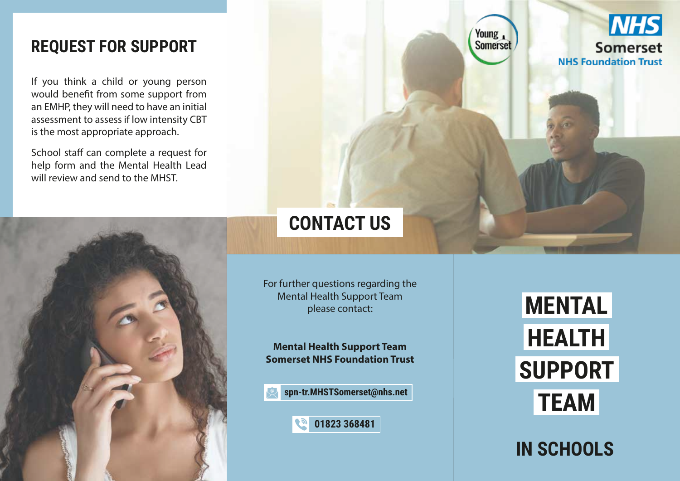### **REQUEST FOR SUPPORT**

If you think a child or young person would benefit from some support from an EMHP, they will need to have an initial assessment to assess if low intensity CBT is the most appropriate approach.

School staff can complete a request for help form and the Mental Health Lead will review and send to the MHST.



# **CONTACT US**

For further questions regarding the Mental Health Support Team please contact:

**Mental Health Support Team Somerset NHS Foundation Trust** 

**spn-tr.MHSTSomerset@nhs.net** 



**MENTAL HEALTH SUPPORT TEAM** 

**IN SCHOOLS**



Young, Somerset